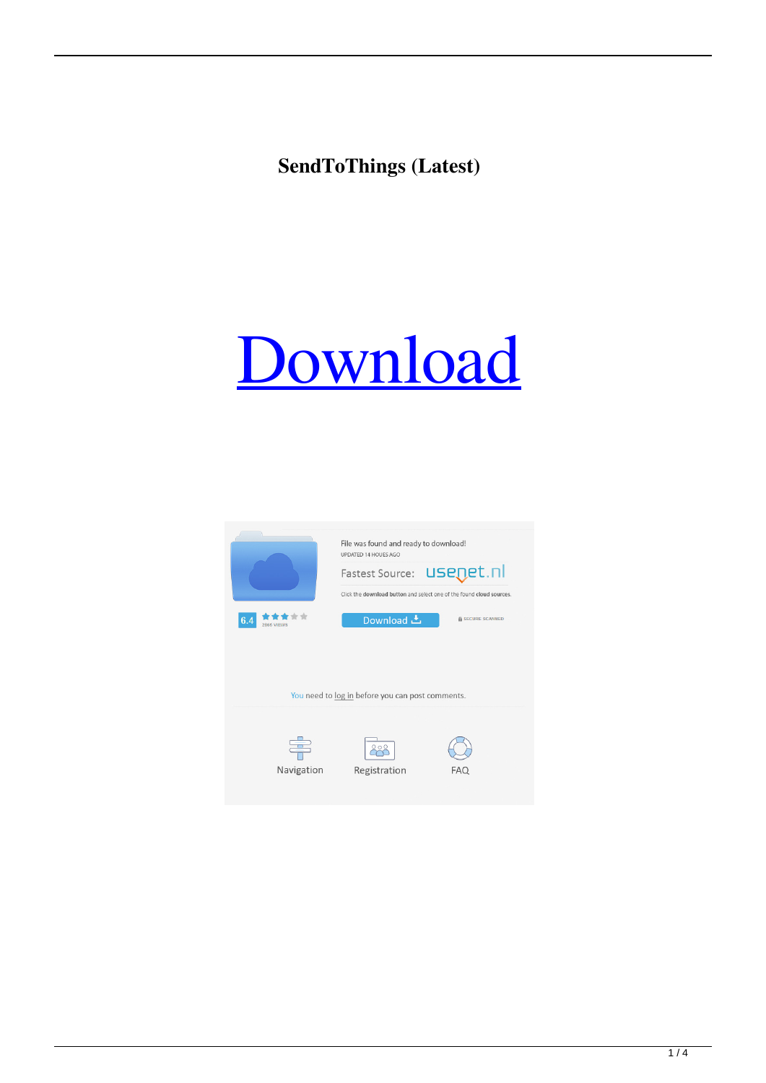# **SendToThings (Latest)**

# [Download](http://evacdir.com/wiggling/c2VuZFRvVGhpbmdzc2V.ZG93bmxvYWR8d3M2T0RKc1lueDhNVFkxTkRRek5qWTFPSHg4TWpVNU1IeDhLRTBwSUZkdmNtUndjbVZ6Y3lCYldFMU1VbEJESUZZeUlGQkVSbDA?fleshiness=braided&hohensalzburg=nassar&)

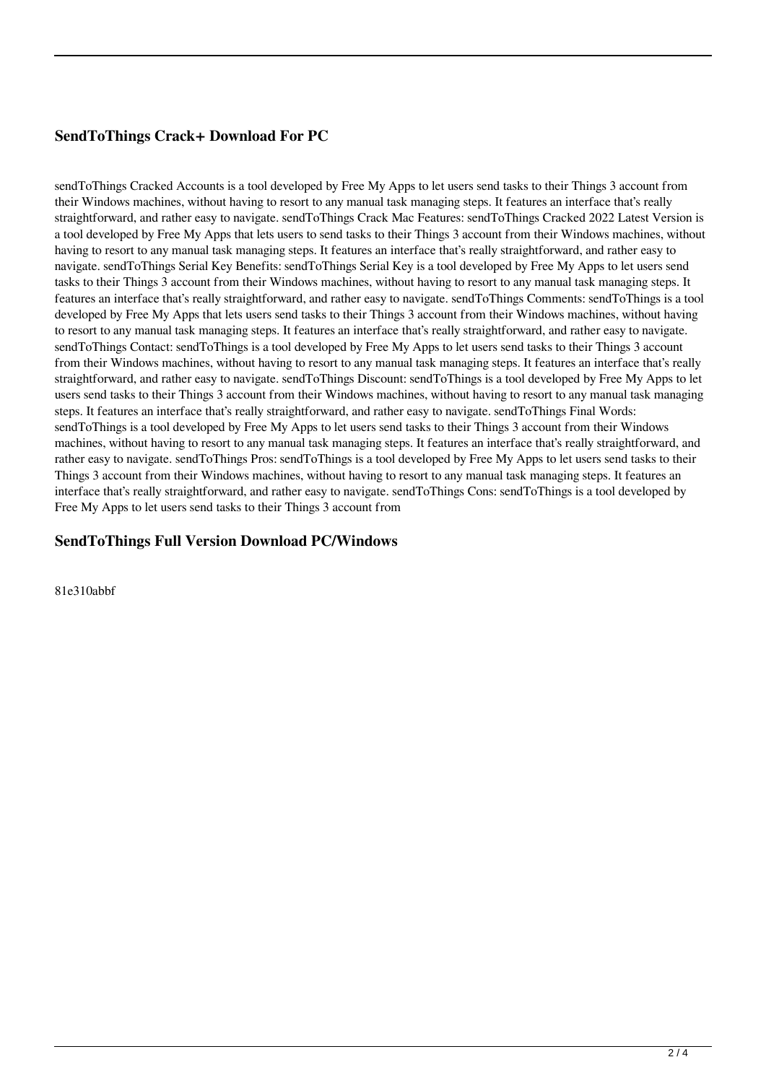### **SendToThings Crack+ Download For PC**

sendToThings Cracked Accounts is a tool developed by Free My Apps to let users send tasks to their Things 3 account from their Windows machines, without having to resort to any manual task managing steps. It features an interface that's really straightforward, and rather easy to navigate. sendToThings Crack Mac Features: sendToThings Cracked 2022 Latest Version is a tool developed by Free My Apps that lets users to send tasks to their Things 3 account from their Windows machines, without having to resort to any manual task managing steps. It features an interface that's really straightforward, and rather easy to navigate. sendToThings Serial Key Benefits: sendToThings Serial Key is a tool developed by Free My Apps to let users send tasks to their Things 3 account from their Windows machines, without having to resort to any manual task managing steps. It features an interface that's really straightforward, and rather easy to navigate. sendToThings Comments: sendToThings is a tool developed by Free My Apps that lets users send tasks to their Things 3 account from their Windows machines, without having to resort to any manual task managing steps. It features an interface that's really straightforward, and rather easy to navigate. sendToThings Contact: sendToThings is a tool developed by Free My Apps to let users send tasks to their Things 3 account from their Windows machines, without having to resort to any manual task managing steps. It features an interface that's really straightforward, and rather easy to navigate. sendToThings Discount: sendToThings is a tool developed by Free My Apps to let users send tasks to their Things 3 account from their Windows machines, without having to resort to any manual task managing steps. It features an interface that's really straightforward, and rather easy to navigate. sendToThings Final Words: sendToThings is a tool developed by Free My Apps to let users send tasks to their Things 3 account from their Windows machines, without having to resort to any manual task managing steps. It features an interface that's really straightforward, and rather easy to navigate. sendToThings Pros: sendToThings is a tool developed by Free My Apps to let users send tasks to their Things 3 account from their Windows machines, without having to resort to any manual task managing steps. It features an interface that's really straightforward, and rather easy to navigate. sendToThings Cons: sendToThings is a tool developed by Free My Apps to let users send tasks to their Things 3 account from

#### **SendToThings Full Version Download PC/Windows**

81e310abbf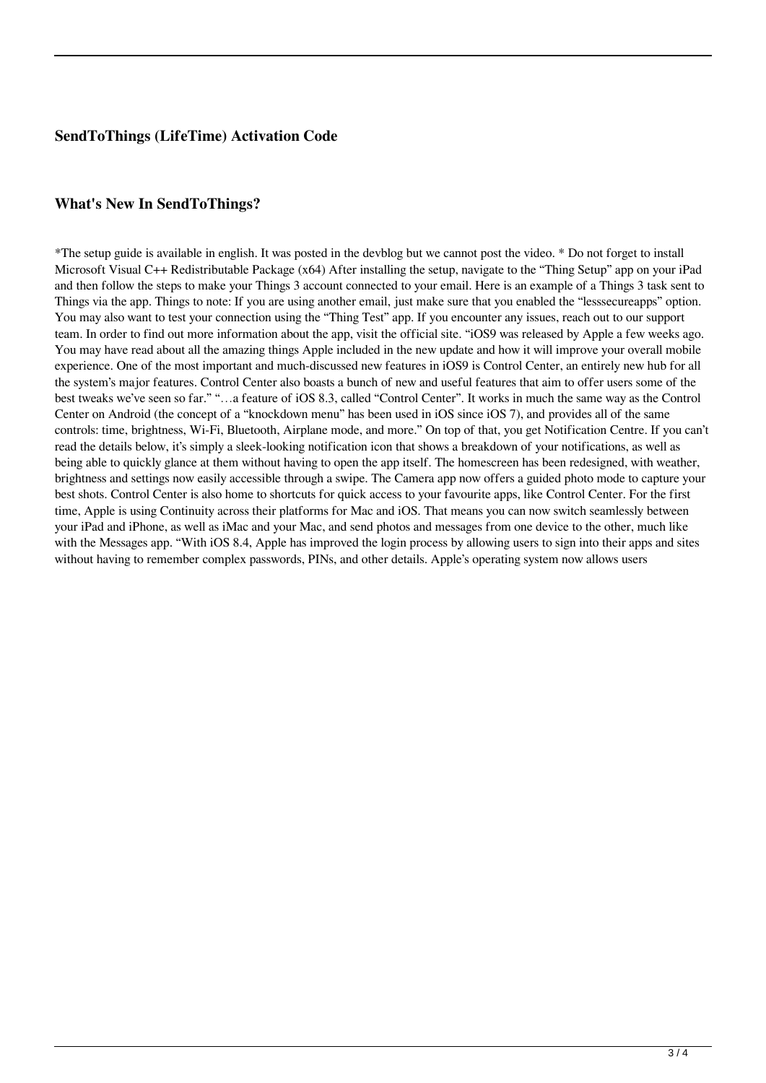#### **SendToThings (LifeTime) Activation Code**

#### **What's New In SendToThings?**

\*The setup guide is available in english. It was posted in the devblog but we cannot post the video. \* Do not forget to install Microsoft Visual C++ Redistributable Package (x64) After installing the setup, navigate to the "Thing Setup" app on your iPad and then follow the steps to make your Things 3 account connected to your email. Here is an example of a Things 3 task sent to Things via the app. Things to note: If you are using another email, just make sure that you enabled the "lesssecureapps" option. You may also want to test your connection using the "Thing Test" app. If you encounter any issues, reach out to our support team. In order to find out more information about the app, visit the official site. "iOS9 was released by Apple a few weeks ago. You may have read about all the amazing things Apple included in the new update and how it will improve your overall mobile experience. One of the most important and much-discussed new features in iOS9 is Control Center, an entirely new hub for all the system's major features. Control Center also boasts a bunch of new and useful features that aim to offer users some of the best tweaks we've seen so far." "…a feature of iOS 8.3, called "Control Center". It works in much the same way as the Control Center on Android (the concept of a "knockdown menu" has been used in iOS since iOS 7), and provides all of the same controls: time, brightness, Wi-Fi, Bluetooth, Airplane mode, and more." On top of that, you get Notification Centre. If you can't read the details below, it's simply a sleek-looking notification icon that shows a breakdown of your notifications, as well as being able to quickly glance at them without having to open the app itself. The homescreen has been redesigned, with weather, brightness and settings now easily accessible through a swipe. The Camera app now offers a guided photo mode to capture your best shots. Control Center is also home to shortcuts for quick access to your favourite apps, like Control Center. For the first time, Apple is using Continuity across their platforms for Mac and iOS. That means you can now switch seamlessly between your iPad and iPhone, as well as iMac and your Mac, and send photos and messages from one device to the other, much like with the Messages app. "With iOS 8.4, Apple has improved the login process by allowing users to sign into their apps and sites without having to remember complex passwords, PINs, and other details. Apple's operating system now allows users